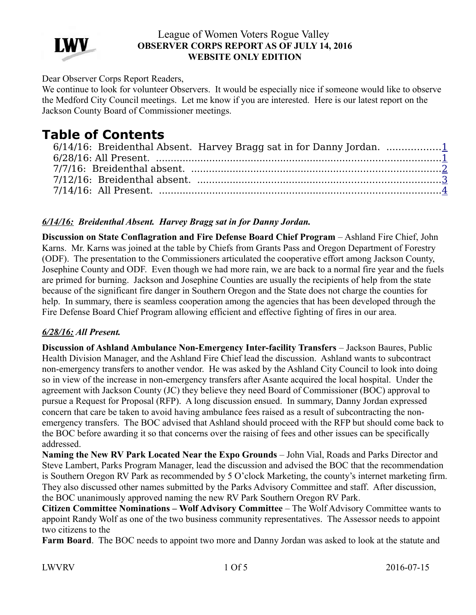

Dear Observer Corps Report Readers,

We continue to look for volunteer Observers. It would be especially nice if someone would like to observe the Medford City Council meetings. Let me know if you are interested. Here is our latest report on the Jackson County Board of Commissioner meetings.

# **Table of Contents**

| 6/14/16: Breidenthal Absent. Harvey Bragg sat in for Danny Jordan. 1 |  |
|----------------------------------------------------------------------|--|
|                                                                      |  |
|                                                                      |  |
|                                                                      |  |
|                                                                      |  |

# <span id="page-0-0"></span>*6/14/16: Breidenthal Absent. Harvey Bragg sat in for Danny Jordan.*

**Discussion on State Conflagration and Fire Defense Board Chief Program** – Ashland Fire Chief, John Karns. Mr. Karns was joined at the table by Chiefs from Grants Pass and Oregon Department of Forestry (ODF). The presentation to the Commissioners articulated the cooperative effort among Jackson County, Josephine County and ODF. Even though we had more rain, we are back to a normal fire year and the fuels are primed for burning. Jackson and Josephine Counties are usually the recipients of help from the state because of the significant fire danger in Southern Oregon and the State does not charge the counties for help. In summary, there is seamless cooperation among the agencies that has been developed through the Fire Defense Board Chief Program allowing efficient and effective fighting of fires in our area.

## <span id="page-0-1"></span>*6/28/16: All Present.*

**Discussion of Ashland Ambulance Non-Emergency Inter-facility Transfers** – Jackson Baures, Public Health Division Manager, and the Ashland Fire Chief lead the discussion. Ashland wants to subcontract non-emergency transfers to another vendor. He was asked by the Ashland City Council to look into doing so in view of the increase in non-emergency transfers after Asante acquired the local hospital. Under the agreement with Jackson County (JC) they believe they need Board of Commissioner (BOC) approval to pursue a Request for Proposal (RFP). A long discussion ensued. In summary, Danny Jordan expressed concern that care be taken to avoid having ambulance fees raised as a result of subcontracting the nonemergency transfers. The BOC advised that Ashland should proceed with the RFP but should come back to the BOC before awarding it so that concerns over the raising of fees and other issues can be specifically addressed.

**Naming the New RV Park Located Near the Expo Grounds** – John Vial, Roads and Parks Director and Steve Lambert, Parks Program Manager, lead the discussion and advised the BOC that the recommendation is Southern Oregon RV Park as recommended by 5 O'clock Marketing, the county's internet marketing firm. They also discussed other names submitted by the Parks Advisory Committee and staff. After discussion, the BOC unanimously approved naming the new RV Park Southern Oregon RV Park.

**Citizen Committee Nominations – Wolf Advisory Committee** – The Wolf Advisory Committee wants to appoint Randy Wolf as one of the two business community representatives. The Assessor needs to appoint two citizens to the

**Farm Board**. The BOC needs to appoint two more and Danny Jordan was asked to look at the statute and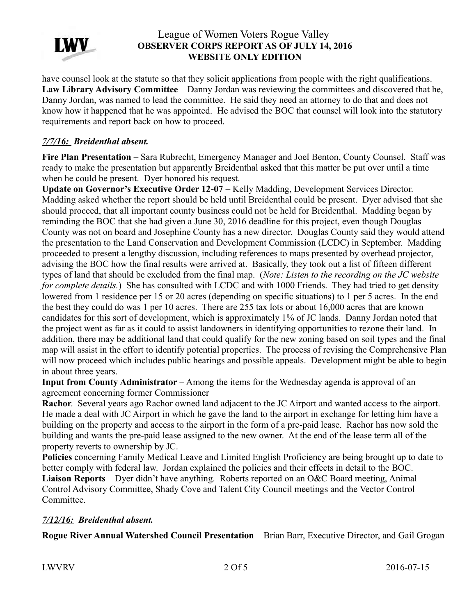

have counsel look at the statute so that they solicit applications from people with the right qualifications. **Law Library Advisory Committee** – Danny Jordan was reviewing the committees and discovered that he, Danny Jordan, was named to lead the committee. He said they need an attorney to do that and does not know how it happened that he was appointed. He advised the BOC that counsel will look into the statutory requirements and report back on how to proceed.

## <span id="page-1-1"></span>*7/7/16: Breidenthal absent.*

**Fire Plan Presentation** – Sara Rubrecht, Emergency Manager and Joel Benton, County Counsel. Staff was ready to make the presentation but apparently Breidenthal asked that this matter be put over until a time when he could be present. Dyer honored his request.

Update on Governor's Executive Order 12-07 – Kelly Madding, Development Services Director. Madding asked whether the report should be held until Breidenthal could be present. Dyer advised that she should proceed, that all important county business could not be held for Breidenthal. Madding began by reminding the BOC that she had given a June 30, 2016 deadline for this project, even though Douglas County was not on board and Josephine County has a new director. Douglas County said they would attend the presentation to the Land Conservation and Development Commission (LCDC) in September. Madding proceeded to present a lengthy discussion, including references to maps presented by overhead projector, advising the BOC how the final results were arrived at. Basically, they took out a list of fifteen different types of land that should be excluded from the final map. (*Note: Listen to the recording on the JC website for complete details.*) She has consulted with LCDC and with 1000 Friends. They had tried to get density lowered from 1 residence per 15 or 20 acres (depending on specific situations) to 1 per 5 acres. In the end the best they could do was 1 per 10 acres. There are 255 tax lots or about 16,000 acres that are known candidates for this sort of development, which is approximately 1% of JC lands. Danny Jordan noted that the project went as far as it could to assist landowners in identifying opportunities to rezone their land. In addition, there may be additional land that could qualify for the new zoning based on soil types and the final map will assist in the effort to identify potential properties. The process of revising the Comprehensive Plan will now proceed which includes public hearings and possible appeals. Development might be able to begin in about three years.

**Input from County Administrator** – Among the items for the Wednesday agenda is approval of an agreement concerning former Commissioner

**Rachor**. Several years ago Rachor owned land adjacent to the JC Airport and wanted access to the airport. He made a deal with JC Airport in which he gave the land to the airport in exchange for letting him have a building on the property and access to the airport in the form of a pre-paid lease. Rachor has now sold the building and wants the pre-paid lease assigned to the new owner. At the end of the lease term all of the property reverts to ownership by JC.

**Policies** concerning Family Medical Leave and Limited English Proficiency are being brought up to date to better comply with federal law. Jordan explained the policies and their effects in detail to the BOC.

**Liaison Reports** – Dyer didn't have anything. Roberts reported on an O&C Board meeting, Animal Control Advisory Committee, Shady Cove and Talent City Council meetings and the Vector Control Committee.

# <span id="page-1-0"></span>*7/12/16: Breidenthal absent.*

**Rogue River Annual Watershed Council Presentation** – Brian Barr, Executive Director, and Gail Grogan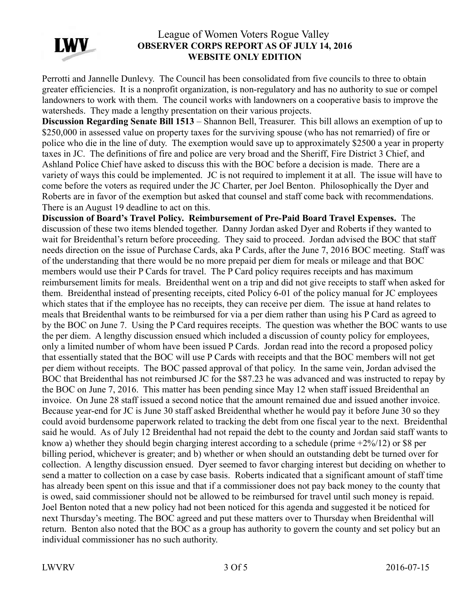

Perrotti and Jannelle Dunlevy. The Council has been consolidated from five councils to three to obtain greater efficiencies. It is a nonprofit organization, is non-regulatory and has no authority to sue or compel landowners to work with them. The council works with landowners on a cooperative basis to improve the watersheds. They made a lengthy presentation on their various projects.

**Discussion Regarding Senate Bill 1513** – Shannon Bell, Treasurer. This bill allows an exemption of up to \$250,000 in assessed value on property taxes for the surviving spouse (who has not remarried) of fire or police who die in the line of duty. The exemption would save up to approximately \$2500 a year in property taxes in JC. The definitions of fire and police are very broad and the Sheriff, Fire District 3 Chief, and Ashland Police Chief have asked to discuss this with the BOC before a decision is made. There are a variety of ways this could be implemented. JC is not required to implement it at all. The issue will have to come before the voters as required under the JC Charter, per Joel Benton. Philosophically the Dyer and Roberts are in favor of the exemption but asked that counsel and staff come back with recommendations. There is an August 19 deadline to act on this.

**Discussion of Board's Travel Policy. Reimbursement of Pre-Paid Board Travel Expenses.** The discussion of these two items blended together. Danny Jordan asked Dyer and Roberts if they wanted to wait for Breidenthal's return before proceeding. They said to proceed. Jordan advised the BOC that staff needs direction on the issue of Purchase Cards, aka P Cards, after the June 7, 2016 BOC meeting. Staff was of the understanding that there would be no more prepaid per diem for meals or mileage and that BOC members would use their P Cards for travel. The P Card policy requires receipts and has maximum reimbursement limits for meals. Breidenthal went on a trip and did not give receipts to staff when asked for them. Breidenthal instead of presenting receipts, cited Policy 6-01 of the policy manual for JC employees which states that if the employee has no receipts, they can receive per diem. The issue at hand relates to meals that Breidenthal wants to be reimbursed for via a per diem rather than using his P Card as agreed to by the BOC on June 7. Using the P Card requires receipts. The question was whether the BOC wants to use the per diem. A lengthy discussion ensued which included a discussion of county policy for employees, only a limited number of whom have been issued P Cards. Jordan read into the record a proposed policy that essentially stated that the BOC will use P Cards with receipts and that the BOC members will not get per diem without receipts. The BOC passed approval of that policy. In the same vein, Jordan advised the BOC that Breidenthal has not reimbursed JC for the \$87.23 he was advanced and was instructed to repay by the BOC on June 7, 2016. This matter has been pending since May 12 when staff issued Breidenthal an invoice. On June 28 staff issued a second notice that the amount remained due and issued another invoice. Because year-end for JC is June 30 staff asked Breidenthal whether he would pay it before June 30 so they could avoid burdensome paperwork related to tracking the debt from one fiscal year to the next. Breidenthal said he would. As of July 12 Breidenthal had not repaid the debt to the county and Jordan said staff wants to know a) whether they should begin charging interest according to a schedule (prime +2%/12) or \$8 per billing period, whichever is greater; and b) whether or when should an outstanding debt be turned over for collection. A lengthy discussion ensued. Dyer seemed to favor charging interest but deciding on whether to send a matter to collection on a case by case basis. Roberts indicated that a significant amount of staff time has already been spent on this issue and that if a commissioner does not pay back money to the county that is owed, said commissioner should not be allowed to be reimbursed for travel until such money is repaid. Joel Benton noted that a new policy had not been noticed for this agenda and suggested it be noticed for next Thursday's meeting. The BOC agreed and put these matters over to Thursday when Breidenthal will return. Benton also noted that the BOC as a group has authority to govern the county and set policy but an individual commissioner has no such authority.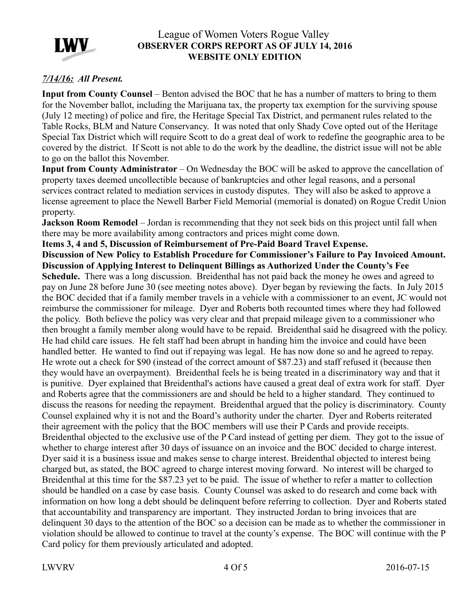

## <span id="page-3-0"></span>*7/14/16: All Present.*

**Input from County Counsel** – Benton advised the BOC that he has a number of matters to bring to them for the November ballot, including the Marijuana tax, the property tax exemption for the surviving spouse (July 12 meeting) of police and fire, the Heritage Special Tax District, and permanent rules related to the Table Rocks, BLM and Nature Conservancy. It was noted that only Shady Cove opted out of the Heritage Special Tax District which will require Scott to do a great deal of work to redefine the geographic area to be covered by the district. If Scott is not able to do the work by the deadline, the district issue will not be able to go on the ballot this November.

**Input from County Administrator** – On Wednesday the BOC will be asked to approve the cancellation of property taxes deemed uncollectible because of bankruptcies and other legal reasons, and a personal services contract related to mediation services in custody disputes. They will also be asked to approve a license agreement to place the Newell Barber Field Memorial (memorial is donated) on Rogue Credit Union property.

**Jackson Room Remodel** – Jordan is recommending that they not seek bids on this project until fall when there may be more availability among contractors and prices might come down.

**Items 3, 4 and 5, Discussion of Reimbursement of Pre-Paid Board Travel Expense.** 

**Discussion of New Policy to Establish Procedure for Commissioner's Failure to Pay Invoiced Amount. Discussion of Applying Interest to Delinquent Billings as Authorized Under the County's Fee Schedule.** There was a long discussion. Breidenthal has not paid back the money he owes and agreed to

pay on June 28 before June 30 (see meeting notes above). Dyer began by reviewing the facts. In July 2015 the BOC decided that if a family member travels in a vehicle with a commissioner to an event, JC would not reimburse the commissioner for mileage. Dyer and Roberts both recounted times where they had followed the policy. Both believe the policy was very clear and that prepaid mileage given to a commissioner who then brought a family member along would have to be repaid. Breidenthal said he disagreed with the policy. He had child care issues. He felt staff had been abrupt in handing him the invoice and could have been handled better. He wanted to find out if repaying was legal. He has now done so and he agreed to repay. He wrote out a check for \$90 (instead of the correct amount of \$87.23) and staff refused it (because then they would have an overpayment). Breidenthal feels he is being treated in a discriminatory way and that it is punitive. Dyer explained that Breidenthal's actions have caused a great deal of extra work for staff. Dyer and Roberts agree that the commissioners are and should be held to a higher standard. They continued to discuss the reasons for needing the repayment. Breidenthal argued that the policy is discriminatory. County Counsel explained why it is not and the Board's authority under the charter. Dyer and Roberts reiterated their agreement with the policy that the BOC members will use their P Cards and provide receipts. Breidenthal objected to the exclusive use of the P Card instead of getting per diem. They got to the issue of whether to charge interest after 30 days of issuance on an invoice and the BOC decided to charge interest. Dyer said it is a business issue and makes sense to charge interest. Breidenthal objected to interest being charged but, as stated, the BOC agreed to charge interest moving forward. No interest will be charged to Breidenthal at this time for the \$87.23 yet to be paid. The issue of whether to refer a matter to collection should be handled on a case by case basis. County Counsel was asked to do research and come back with information on how long a debt should be delinquent before referring to collection. Dyer and Roberts stated that accountability and transparency are important. They instructed Jordan to bring invoices that are delinquent 30 days to the attention of the BOC so a decision can be made as to whether the commissioner in violation should be allowed to continue to travel at the county's expense. The BOC will continue with the P Card policy for them previously articulated and adopted.